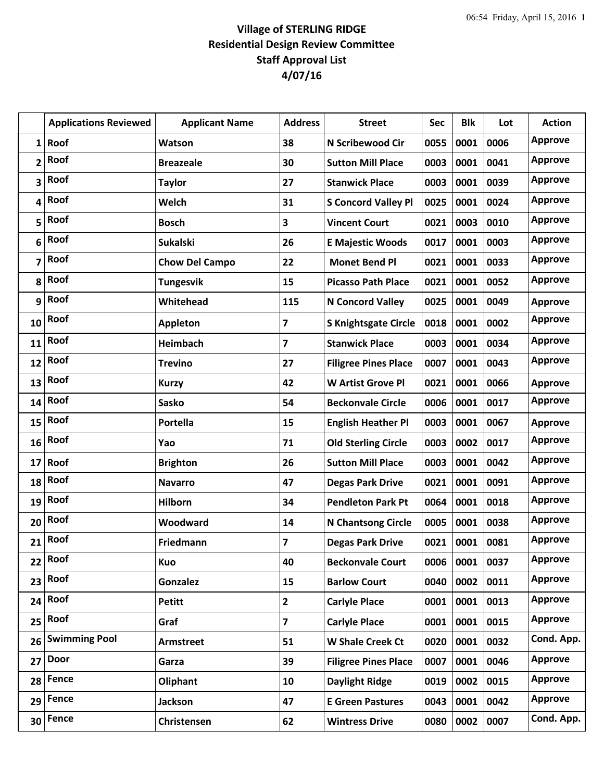## **Village of STERLING RIDGE Residential Design Review Committee Staff Approval List 4/07/16**

|                 | <b>Applications Reviewed</b> | <b>Applicant Name</b> | <b>Address</b>          | <b>Street</b>               | <b>Sec</b> | <b>Blk</b> | Lot  | <b>Action</b>  |
|-----------------|------------------------------|-----------------------|-------------------------|-----------------------------|------------|------------|------|----------------|
| 1               | Roof                         | Watson                | 38                      | N Scribewood Cir            | 0055       | 0001       | 0006 | <b>Approve</b> |
| 2               | Roof                         | <b>Breazeale</b>      | 30                      | <b>Sutton Mill Place</b>    | 0003       | 0001       | 0041 | <b>Approve</b> |
| 3               | Roof                         | <b>Taylor</b>         | 27                      | <b>Stanwick Place</b>       | 0003       | 0001       | 0039 | <b>Approve</b> |
| 4               | Roof                         | Welch                 | 31                      | <b>S Concord Valley Pl</b>  | 0025       | 0001       | 0024 | <b>Approve</b> |
| 5               | Roof                         | <b>Bosch</b>          | 3                       | <b>Vincent Court</b>        | 0021       | 0003       | 0010 | <b>Approve</b> |
| 6               | Roof                         | <b>Sukalski</b>       | 26                      | <b>E Majestic Woods</b>     | 0017       | 0001       | 0003 | <b>Approve</b> |
| 7               | Roof                         | <b>Chow Del Campo</b> | 22                      | <b>Monet Bend Pl</b>        | 0021       | 0001       | 0033 | <b>Approve</b> |
| 8               | Roof                         | <b>Tungesvik</b>      | 15                      | <b>Picasso Path Place</b>   | 0021       | 0001       | 0052 | <b>Approve</b> |
| 9               | Roof                         | Whitehead             | 115                     | N Concord Valley            | 0025       | 0001       | 0049 | <b>Approve</b> |
| 10              | Roof                         | <b>Appleton</b>       | 7                       | <b>S Knightsgate Circle</b> | 0018       | 0001       | 0002 | <b>Approve</b> |
| 11              | Roof                         | <b>Heimbach</b>       | 7                       | <b>Stanwick Place</b>       | 0003       | 0001       | 0034 | <b>Approve</b> |
| 12              | Roof                         | <b>Trevino</b>        | 27                      | <b>Filigree Pines Place</b> | 0007       | 0001       | 0043 | <b>Approve</b> |
| 13              | Roof                         | <b>Kurzy</b>          | 42                      | <b>W Artist Grove Pl</b>    | 0021       | 0001       | 0066 | <b>Approve</b> |
| 14              | Roof                         | Sasko                 | 54                      | <b>Beckonvale Circle</b>    | 0006       | 0001       | 0017 | <b>Approve</b> |
| 15              | Roof                         | Portella              | 15                      | <b>English Heather Pl</b>   | 0003       | 0001       | 0067 | <b>Approve</b> |
| 16              | Roof                         | Yao                   | 71                      | <b>Old Sterling Circle</b>  | 0003       | 0002       | 0017 | <b>Approve</b> |
| 17              | Roof                         | <b>Brighton</b>       | 26                      | <b>Sutton Mill Place</b>    | 0003       | 0001       | 0042 | <b>Approve</b> |
| 18              | Roof                         | <b>Navarro</b>        | 47                      | <b>Degas Park Drive</b>     | 0021       | 0001       | 0091 | <b>Approve</b> |
| 19              | Roof                         | <b>Hilborn</b>        | 34                      | <b>Pendleton Park Pt</b>    | 0064       | 0001       | 0018 | <b>Approve</b> |
| 20              | Roof                         | Woodward              | 14                      | <b>N Chantsong Circle</b>   | 0005       | 0001       | 0038 | <b>Approve</b> |
| 21              | Roof                         | Friedmann             | $\overline{7}$          | <b>Degas Park Drive</b>     | 0021       | 0001       | 0081 | <b>Approve</b> |
| 22              | Roof                         | <b>Kuo</b>            | 40                      | <b>Beckonvale Court</b>     | 0006       | 0001       | 0037 | <b>Approve</b> |
| 23              | Roof                         | Gonzalez              | 15                      | <b>Barlow Court</b>         | 0040       | 0002       | 0011 | <b>Approve</b> |
| 24              | Roof                         | <b>Petitt</b>         | $\overline{2}$          | <b>Carlyle Place</b>        | 0001       | 0001       | 0013 | Approve        |
| 25              | Roof                         | Graf                  | $\overline{\mathbf{z}}$ | <b>Carlyle Place</b>        | 0001       | 0001       | 0015 | <b>Approve</b> |
| 26              | <b>Swimming Pool</b>         | <b>Armstreet</b>      | 51                      | <b>W Shale Creek Ct</b>     | 0020       | 0001       | 0032 | Cond. App.     |
| 27              | <b>Door</b>                  | Garza                 | 39                      | <b>Filigree Pines Place</b> | 0007       | 0001       | 0046 | <b>Approve</b> |
| 28              | Fence                        | Oliphant              | 10                      | <b>Daylight Ridge</b>       | 0019       | 0002       | 0015 | Approve        |
| 29              | Fence                        | <b>Jackson</b>        | 47                      | <b>E Green Pastures</b>     | 0043       | 0001       | 0042 | Approve        |
| 30 <sup>1</sup> | Fence                        | Christensen           | 62                      | <b>Wintress Drive</b>       | 0080       | 0002       | 0007 | Cond. App.     |